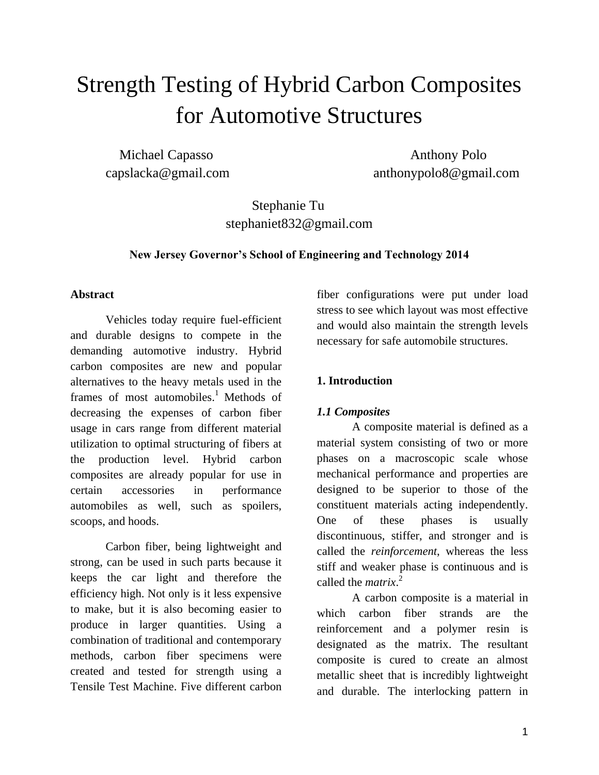# Strength Testing of Hybrid Carbon Composites for Automotive Structures

Michael Capasso **Anthony Polo** capslacka@gmail.com anthonypolo8@gmail.com

# Stephanie Tu stephaniet832@gmail.com

#### **New Jersey Governor's School of Engineering and Technology 2014**

#### **Abstract**

Vehicles today require fuel-efficient and durable designs to compete in the demanding automotive industry. Hybrid carbon composites are new and popular alternatives to the heavy metals used in the frames of most automobiles.<sup>1</sup> Methods of decreasing the expenses of carbon fiber usage in cars range from different material utilization to optimal structuring of fibers at the production level. Hybrid carbon composites are already popular for use in certain accessories in performance automobiles as well, such as spoilers, scoops, and hoods.

Carbon fiber, being lightweight and strong, can be used in such parts because it keeps the car light and therefore the efficiency high. Not only is it less expensive to make, but it is also becoming easier to produce in larger quantities. Using a combination of traditional and contemporary methods, carbon fiber specimens were created and tested for strength using a Tensile Test Machine. Five different carbon

fiber configurations were put under load stress to see which layout was most effective and would also maintain the strength levels necessary for safe automobile structures.

### **1. Introduction**

# *1.1 Composites*

A composite material is defined as a material system consisting of two or more phases on a macroscopic scale whose mechanical performance and properties are designed to be superior to those of the constituent materials acting independently. One of these phases is usually discontinuous, stiffer, and stronger and is called the *reinforcement*, whereas the less stiff and weaker phase is continuous and is called the *matrix*. 2

A carbon composite is a material in which carbon fiber strands are the reinforcement and a polymer resin is designated as the matrix. The resultant composite is cured to create an almost metallic sheet that is incredibly lightweight and durable. The interlocking pattern in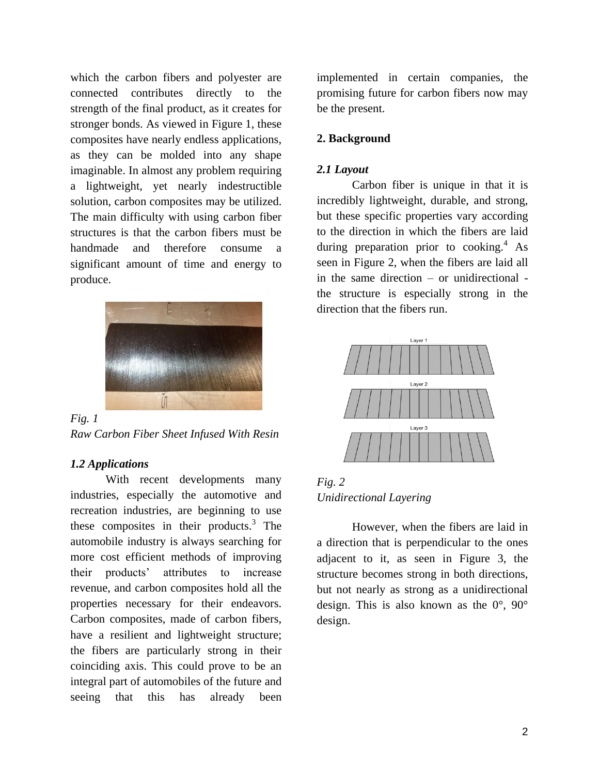which the carbon fibers and polyester are connected contributes directly to the strength of the final product, as it creates for stronger bonds. As viewed in Figure 1, these composites have nearly endless applications, as they can be molded into any shape imaginable. In almost any problem requiring a lightweight, yet nearly indestructible solution, carbon composites may be utilized. The main difficulty with using carbon fiber structures is that the carbon fibers must be handmade and therefore consume a significant amount of time and energy to produce.



*Fig. 1 Raw Carbon Fiber Sheet Infused With Resin*

#### *1.2 Applications*

With recent developments many industries, especially the automotive and recreation industries, are beginning to use these composites in their products. $3$  The automobile industry is always searching for more cost efficient methods of improving their products' attributes to increase revenue, and carbon composites hold all the properties necessary for their endeavors. Carbon composites, made of carbon fibers, have a resilient and lightweight structure; the fibers are particularly strong in their coinciding axis. This could prove to be an integral part of automobiles of the future and seeing that this has already been

implemented in certain companies, the promising future for carbon fibers now may be the present.

#### **2. Background**

#### *2.1 Layout*

Carbon fiber is unique in that it is incredibly lightweight, durable, and strong, but these specific properties vary according to the direction in which the fibers are laid during preparation prior to cooking.<sup>4</sup> As seen in Figure 2, when the fibers are laid all in the same direction – or unidirectional the structure is especially strong in the direction that the fibers run.



*Fig. 2 Unidirectional Layering*

However, when the fibers are laid in a direction that is perpendicular to the ones adjacent to it, as seen in Figure 3, the structure becomes strong in both directions, but not nearly as strong as a unidirectional design. This is also known as the  $0^{\circ}$ ,  $90^{\circ}$ design.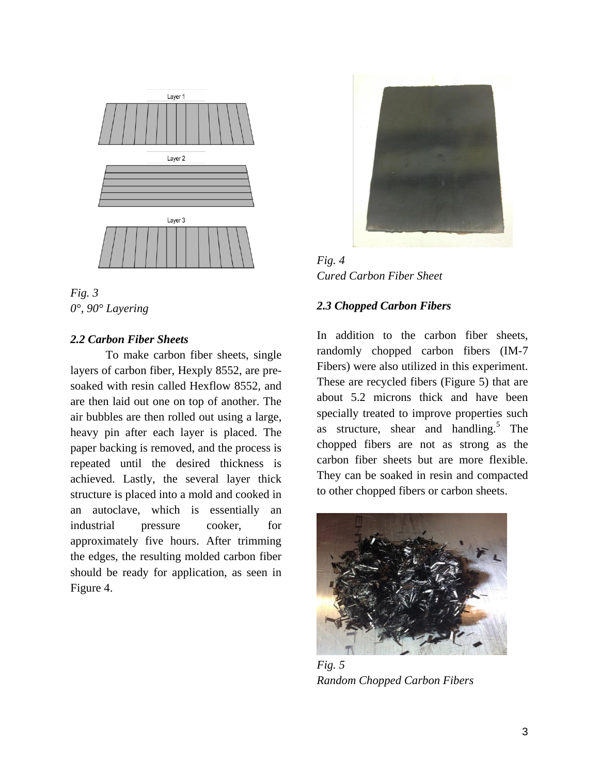



#### *2.2 Carbon Fiber Sheets*

To make carbon fiber sheets, single layers of carbon fiber, Hexply 8552, are presoaked with resin called Hexflow 8552, and are then laid out one on top of another. The air bubbles are then rolled out using a large, heavy pin after each layer is placed. The paper backing is removed, and the process is repeated until the desired thickness is achieved. Lastly, the several layer thick structure is placed into a mold and cooked in an autoclave, which is essentially an industrial pressure cooker, for approximately five hours. After trimming the edges, the resulting molded carbon fiber should be ready for application, as seen in Figure 4.



*Fig. 4 Cured Carbon Fiber Sheet* 

#### *2.3 Chopped Carbon Fibers*

In addition to the carbon fiber sheets, randomly chopped carbon fibers (IM-7 Fibers) were also utilized in this experiment. These are recycled fibers (Figure 5) that are about 5.2 microns thick and have been specially treated to improve properties such as structure, shear and handling.<sup>5</sup> The chopped fibers are not as strong as the carbon fiber sheets but are more flexible. They can be soaked in resin and compacted to other chopped fibers or carbon sheets.



*Fig. 5 Random Chopped Carbon Fibers*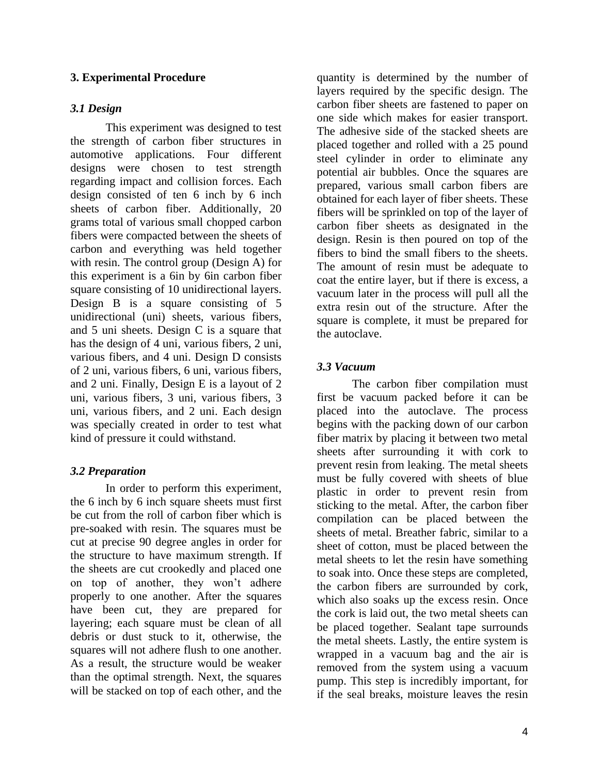#### **3. Experimental Procedure**

#### *3.1 Design*

This experiment was designed to test the strength of carbon fiber structures in automotive applications. Four different designs were chosen to test strength regarding impact and collision forces. Each design consisted of ten 6 inch by 6 inch sheets of carbon fiber. Additionally, 20 grams total of various small chopped carbon fibers were compacted between the sheets of carbon and everything was held together with resin. The control group (Design A) for this experiment is a 6in by 6in carbon fiber square consisting of 10 unidirectional layers. Design B is a square consisting of 5 unidirectional (uni) sheets, various fibers, and 5 uni sheets. Design C is a square that has the design of 4 uni, various fibers, 2 uni, various fibers, and 4 uni. Design D consists of 2 uni, various fibers, 6 uni, various fibers, and 2 uni. Finally, Design E is a layout of 2 uni, various fibers, 3 uni, various fibers, 3 uni, various fibers, and 2 uni. Each design was specially created in order to test what kind of pressure it could withstand.

#### *3.2 Preparation*

In order to perform this experiment, the 6 inch by 6 inch square sheets must first be cut from the roll of carbon fiber which is pre-soaked with resin. The squares must be cut at precise 90 degree angles in order for the structure to have maximum strength. If the sheets are cut crookedly and placed one on top of another, they won't adhere properly to one another. After the squares have been cut, they are prepared for layering; each square must be clean of all debris or dust stuck to it, otherwise, the squares will not adhere flush to one another. As a result, the structure would be weaker than the optimal strength. Next, the squares will be stacked on top of each other, and the

quantity is determined by the number of layers required by the specific design. The carbon fiber sheets are fastened to paper on one side which makes for easier transport. The adhesive side of the stacked sheets are placed together and rolled with a 25 pound steel cylinder in order to eliminate any potential air bubbles. Once the squares are prepared, various small carbon fibers are obtained for each layer of fiber sheets. These fibers will be sprinkled on top of the layer of carbon fiber sheets as designated in the design. Resin is then poured on top of the fibers to bind the small fibers to the sheets. The amount of resin must be adequate to coat the entire layer, but if there is excess, a vacuum later in the process will pull all the extra resin out of the structure. After the square is complete, it must be prepared for the autoclave.

#### *3.3 Vacuum*

The carbon fiber compilation must first be vacuum packed before it can be placed into the autoclave. The process begins with the packing down of our carbon fiber matrix by placing it between two metal sheets after surrounding it with cork to prevent resin from leaking. The metal sheets must be fully covered with sheets of blue plastic in order to prevent resin from sticking to the metal. After, the carbon fiber compilation can be placed between the sheets of metal. Breather fabric, similar to a sheet of cotton, must be placed between the metal sheets to let the resin have something to soak into. Once these steps are completed, the carbon fibers are surrounded by cork, which also soaks up the excess resin. Once the cork is laid out, the two metal sheets can be placed together. Sealant tape surrounds the metal sheets. Lastly, the entire system is wrapped in a vacuum bag and the air is removed from the system using a vacuum pump. This step is incredibly important, for if the seal breaks, moisture leaves the resin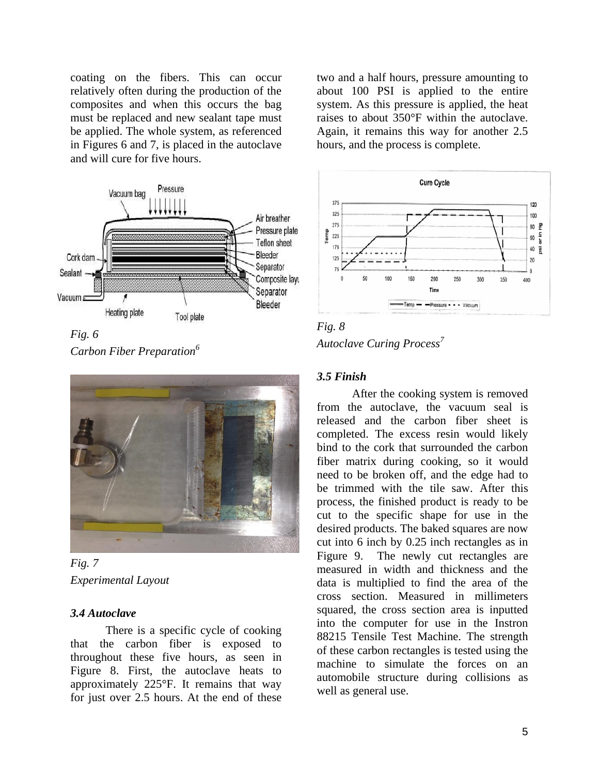coating on the fibers. This can occur relatively often during the production of the composites and when this occurs the bag must be replaced and new sealant tape must be applied. The whole system, as referenced in Figures 6 and 7, is placed in the autoclave and will cure for five hours.



*Fig. 6 Carbon Fiber Preparation<sup>6</sup>*



*Fig. 7 Experimental Layout*

#### *3.4 Autoclave*

There is a specific cycle of cooking that the carbon fiber is exposed to throughout these five hours, as seen in Figure 8. First, the autoclave heats to approximately 225°F. It remains that way for just over 2.5 hours. At the end of these

two and a half hours, pressure amounting to about 100 PSI is applied to the entire system. As this pressure is applied, the heat raises to about 350°F within the autoclave. Again, it remains this way for another 2.5 hours, and the process is complete.



*Fig. 8 Autoclave Curing Process 7*

#### *3.5 Finish*

After the cooking system is removed from the autoclave, the vacuum seal is released and the carbon fiber sheet is completed. The excess resin would likely bind to the cork that surrounded the carbon fiber matrix during cooking, so it would need to be broken off, and the edge had to be trimmed with the tile saw. After this process, the finished product is ready to be cut to the specific shape for use in the desired products. The baked squares are now cut into 6 inch by 0.25 inch rectangles as in Figure 9. The newly cut rectangles are measured in width and thickness and the data is multiplied to find the area of the cross section. Measured in millimeters squared, the cross section area is inputted into the computer for use in the Instron 88215 Tensile Test Machine. The strength of these carbon rectangles is tested using the machine to simulate the forces on an automobile structure during collisions as well as general use.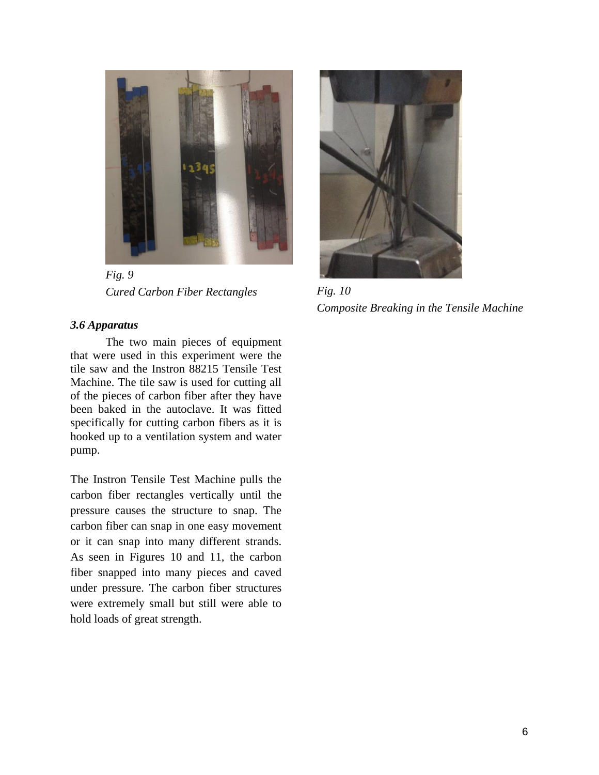

*Fig. 9 Cured Carbon Fiber Rectangles*

#### *3.6 Apparatus*

The two main pieces of equipment that were used in this experiment were the tile saw and the Instron 88215 Tensile Test Machine. The tile saw is used for cutting all of the pieces of carbon fiber after they have been baked in the autoclave. It was fitted specifically for cutting carbon fibers as it is hooked up to a ventilation system and water pump.

The Instron Tensile Test Machine pulls the carbon fiber rectangles vertically until the pressure causes the structure to snap. The carbon fiber can snap in one easy movement or it can snap into many different strands. As seen in Figures 10 and 11, the carbon fiber snapped into many pieces and caved under pressure. The carbon fiber structures were extremely small but still were able to hold loads of great strength.



*Fig. 10 Composite Breaking in the Tensile Machine*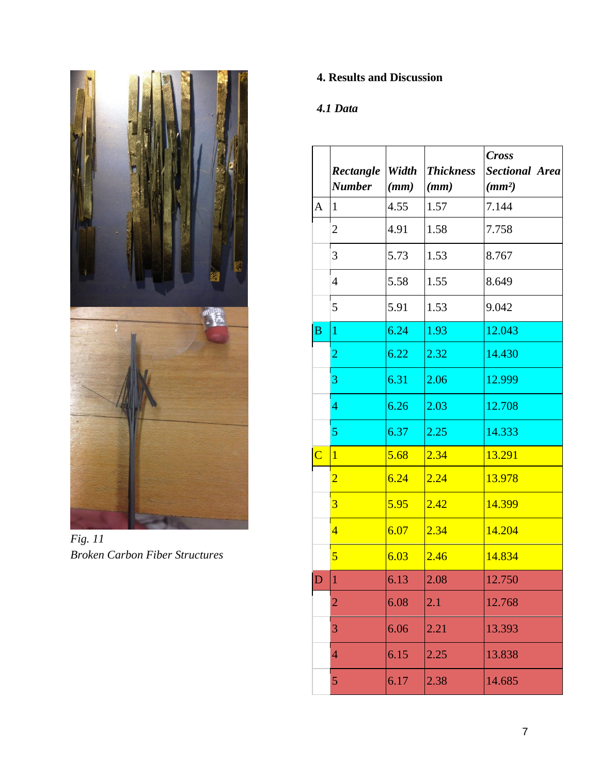

*Fig. 11 Broken Carbon Fiber Structures*

# **4. Results and Discussion**

# *4.1 Data*

|                         |                |       |                  | <b>Cross</b>          |
|-------------------------|----------------|-------|------------------|-----------------------|
|                         | Rectangle      | Width | <b>Thickness</b> | <b>Sectional Area</b> |
|                         | Number         | (mm)  | (mm)             | (mm <sup>2</sup> )    |
| A                       | $\mathbf{1}$   | 4.55  | 1.57             | 7.144                 |
|                         | $\overline{2}$ | 4.91  | 1.58             | 7.758                 |
|                         | 3              | 5.73  | 1.53             | 8.767                 |
|                         | 4              | 5.58  | 1.55             | 8.649                 |
|                         | 5              | 5.91  | 1.53             | 9.042                 |
| $\overline{B}$          | $\mathbf{1}$   | 6.24  | 1.93             | 12.043                |
|                         | $\overline{2}$ | 6.22  | 2.32             | 14.430                |
|                         | 3              | 6.31  | 2.06             | 12.999                |
|                         | 4              | 6.26  | 2.03             | 12.708                |
|                         | 5              | 6.37  | 2.25             | 14.333                |
| $\overline{\mathsf{C}}$ | $\overline{1}$ | 5.68  | 2.34             | 13.291                |
|                         | $\overline{2}$ | 6.24  | 2.24             | 13.978                |
|                         | 3              | 5.95  | 2.42             | 14.399                |
|                         | $\overline{4}$ | 6.07  | 2.34             | 14.204                |
|                         | 5              | 6.03  | 2.46             | 14.834                |
| D                       | $\mathbf{1}$   | 6.13  | 2.08             | 12.750                |
|                         | $\overline{2}$ | 6.08  | 2.1              | 12.768                |
|                         | 3              | 6.06  | 2.21             | 13.393                |
|                         | $\overline{4}$ | 6.15  | 2.25             | 13.838                |
|                         | 5              | 6.17  | 2.38             | 14.685                |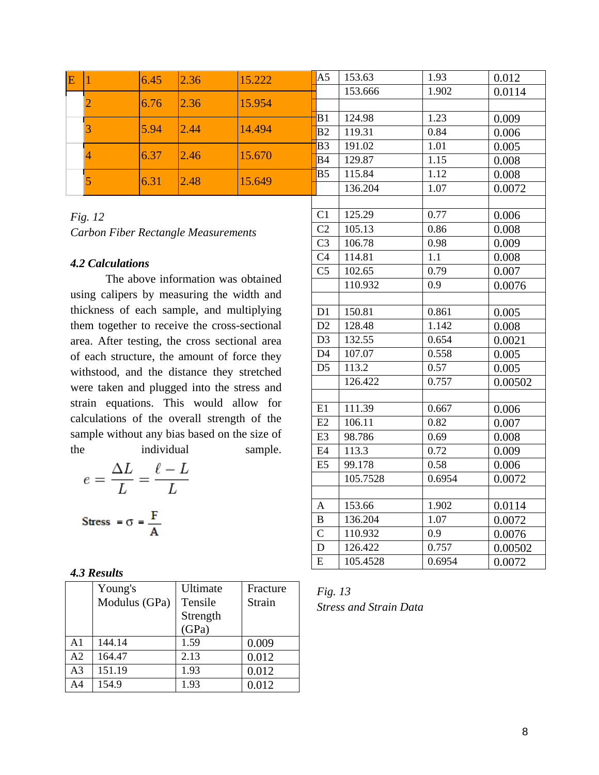|      | 6.45 | 2.36                 | 15.222         | A5             | 153.63  | 1.93  | 0.012  |
|------|------|----------------------|----------------|----------------|---------|-------|--------|
|      |      |                      |                |                | 153.666 | 1.902 | 0.0114 |
|      |      |                      | 15.954         |                |         |       |        |
|      |      |                      |                | $-B1$          | 124.98  | 1.23  | 0.009  |
|      |      |                      |                | B <sub>2</sub> | 119.31  | 0.84  | 0.006  |
|      |      | 2.46                 | 15.670         | <b>B</b> 3     | 191.02  | 1.01  | 0.005  |
|      |      |                      |                | B4             | 129.87  | 1.15  | 0.008  |
| 6.31 |      | 2.48                 | 15.649         | IB5            | 115.84  | 1.12  | 0.008  |
|      |      |                      |                |                | 136.204 | 1.07  | 0.0072 |
|      |      | 6.76<br>5.94<br>6.37 | 2.36 <br> 2.44 | 14.494         |         |       |        |

# *Fig. 12 Carbon Fiber Rectangle Measurements*

#### *4.2 Calculations*

The above information was obtained using calipers by measuring the width and thickness of each sample, and multiplying them together to receive the cross-sectional area. After testing, the cross sectional area of each structure, the amount of force they withstood, and the distance they stretched were taken and plugged into the stress and strain equations. This would allow for calculations of the overall strength of the sample without any bias based on the size of the individual sample.

$$
e = \frac{\Delta L}{L} = \frac{\ell - L}{L}
$$
  
Stress =  $\sigma = \frac{F}{A}$ 

|  | 4.3 Results |
|--|-------------|
|--|-------------|

|                | Young's       | Ultimate | Fracture |
|----------------|---------------|----------|----------|
|                | Modulus (GPa) | Tensile  | Strain   |
|                |               | Strength |          |
|                |               | (GPa)    |          |
| $\mathsf{A}1$  | 144.14        | 1.59     | 0.009    |
| A2             | 164.47        | 2.13     | 0.012    |
| A <sub>3</sub> | 151.19        | 1.93     | 0.012    |
| A4             | 154.9         | 1.93     | 0.012    |

| 153.666<br>1.902<br>0.0114<br>1.23<br>B1<br>124.98<br>0.009<br>119.31<br>0.84<br>B <sub>2</sub><br>0.006<br><b>B3</b><br>191.02<br>1.01<br>0.005<br><b>B</b> 4<br>1.15<br>129.87<br>0.008<br>B <sub>5</sub><br>115.84<br>1.12<br>0.008<br>136.204<br>1.07<br>0.0072<br>C <sub>1</sub><br>125.29<br>0.77<br>0.006<br>$\overline{C2}$<br>105.13<br>0.86<br>0.008<br>$\overline{C}3$<br>106.78<br>0.98<br>0.009<br>C <sub>4</sub><br>114.81<br>1.1<br>0.008<br>C <sub>5</sub><br>102.65<br>0.79<br>0.007<br>110.932<br>0.9<br>0.0076<br>150.81<br>D1<br>0.861<br>0.005<br>D2<br>128.48<br>1.142<br>0.008<br>D <sub>3</sub><br>132.55<br>0.654<br>0.0021<br>0.558<br>D <sub>4</sub><br>107.07<br>0.005<br>0.57<br>D <sub>5</sub><br>113.2<br>0.005<br>0.757<br>126.422<br>0.00502<br>111.39<br>$\overline{E1}$<br>0.667<br>0.006<br>E2<br>106.11<br>0.82<br>0.007<br>E3<br>98.786<br>0.69<br>0.008<br>E <sub>4</sub><br>113.3<br>0.72<br>0.009<br>E <sub>5</sub><br>0.58<br>99.178<br>0.006<br>105.7528<br>0.6954<br>0.0072<br>1.902<br>153.66<br>$\mathbf{A}$<br>0.0114<br>$\overline{B}$<br>136.204<br>1.07<br>0.0072<br>$\overline{C}$<br>0.9<br>110.932<br>0.0076<br>0.757<br>D<br>126.422<br>0.00502<br>E<br>105.4528<br>0.6954<br>0.0072 |  | 0.012 |  |
|--------------------------------------------------------------------------------------------------------------------------------------------------------------------------------------------------------------------------------------------------------------------------------------------------------------------------------------------------------------------------------------------------------------------------------------------------------------------------------------------------------------------------------------------------------------------------------------------------------------------------------------------------------------------------------------------------------------------------------------------------------------------------------------------------------------------------------------------------------------------------------------------------------------------------------------------------------------------------------------------------------------------------------------------------------------------------------------------------------------------------------------------------------------------------------------------------------------------------------------------|--|-------|--|
|                                                                                                                                                                                                                                                                                                                                                                                                                                                                                                                                                                                                                                                                                                                                                                                                                                                                                                                                                                                                                                                                                                                                                                                                                                            |  |       |  |
|                                                                                                                                                                                                                                                                                                                                                                                                                                                                                                                                                                                                                                                                                                                                                                                                                                                                                                                                                                                                                                                                                                                                                                                                                                            |  |       |  |
|                                                                                                                                                                                                                                                                                                                                                                                                                                                                                                                                                                                                                                                                                                                                                                                                                                                                                                                                                                                                                                                                                                                                                                                                                                            |  |       |  |
|                                                                                                                                                                                                                                                                                                                                                                                                                                                                                                                                                                                                                                                                                                                                                                                                                                                                                                                                                                                                                                                                                                                                                                                                                                            |  |       |  |
|                                                                                                                                                                                                                                                                                                                                                                                                                                                                                                                                                                                                                                                                                                                                                                                                                                                                                                                                                                                                                                                                                                                                                                                                                                            |  |       |  |
|                                                                                                                                                                                                                                                                                                                                                                                                                                                                                                                                                                                                                                                                                                                                                                                                                                                                                                                                                                                                                                                                                                                                                                                                                                            |  |       |  |
|                                                                                                                                                                                                                                                                                                                                                                                                                                                                                                                                                                                                                                                                                                                                                                                                                                                                                                                                                                                                                                                                                                                                                                                                                                            |  |       |  |
|                                                                                                                                                                                                                                                                                                                                                                                                                                                                                                                                                                                                                                                                                                                                                                                                                                                                                                                                                                                                                                                                                                                                                                                                                                            |  |       |  |
|                                                                                                                                                                                                                                                                                                                                                                                                                                                                                                                                                                                                                                                                                                                                                                                                                                                                                                                                                                                                                                                                                                                                                                                                                                            |  |       |  |
|                                                                                                                                                                                                                                                                                                                                                                                                                                                                                                                                                                                                                                                                                                                                                                                                                                                                                                                                                                                                                                                                                                                                                                                                                                            |  |       |  |
|                                                                                                                                                                                                                                                                                                                                                                                                                                                                                                                                                                                                                                                                                                                                                                                                                                                                                                                                                                                                                                                                                                                                                                                                                                            |  |       |  |
|                                                                                                                                                                                                                                                                                                                                                                                                                                                                                                                                                                                                                                                                                                                                                                                                                                                                                                                                                                                                                                                                                                                                                                                                                                            |  |       |  |
|                                                                                                                                                                                                                                                                                                                                                                                                                                                                                                                                                                                                                                                                                                                                                                                                                                                                                                                                                                                                                                                                                                                                                                                                                                            |  |       |  |
|                                                                                                                                                                                                                                                                                                                                                                                                                                                                                                                                                                                                                                                                                                                                                                                                                                                                                                                                                                                                                                                                                                                                                                                                                                            |  |       |  |
|                                                                                                                                                                                                                                                                                                                                                                                                                                                                                                                                                                                                                                                                                                                                                                                                                                                                                                                                                                                                                                                                                                                                                                                                                                            |  |       |  |
|                                                                                                                                                                                                                                                                                                                                                                                                                                                                                                                                                                                                                                                                                                                                                                                                                                                                                                                                                                                                                                                                                                                                                                                                                                            |  |       |  |
|                                                                                                                                                                                                                                                                                                                                                                                                                                                                                                                                                                                                                                                                                                                                                                                                                                                                                                                                                                                                                                                                                                                                                                                                                                            |  |       |  |
|                                                                                                                                                                                                                                                                                                                                                                                                                                                                                                                                                                                                                                                                                                                                                                                                                                                                                                                                                                                                                                                                                                                                                                                                                                            |  |       |  |
|                                                                                                                                                                                                                                                                                                                                                                                                                                                                                                                                                                                                                                                                                                                                                                                                                                                                                                                                                                                                                                                                                                                                                                                                                                            |  |       |  |
|                                                                                                                                                                                                                                                                                                                                                                                                                                                                                                                                                                                                                                                                                                                                                                                                                                                                                                                                                                                                                                                                                                                                                                                                                                            |  |       |  |
|                                                                                                                                                                                                                                                                                                                                                                                                                                                                                                                                                                                                                                                                                                                                                                                                                                                                                                                                                                                                                                                                                                                                                                                                                                            |  |       |  |
|                                                                                                                                                                                                                                                                                                                                                                                                                                                                                                                                                                                                                                                                                                                                                                                                                                                                                                                                                                                                                                                                                                                                                                                                                                            |  |       |  |
|                                                                                                                                                                                                                                                                                                                                                                                                                                                                                                                                                                                                                                                                                                                                                                                                                                                                                                                                                                                                                                                                                                                                                                                                                                            |  |       |  |
|                                                                                                                                                                                                                                                                                                                                                                                                                                                                                                                                                                                                                                                                                                                                                                                                                                                                                                                                                                                                                                                                                                                                                                                                                                            |  |       |  |
|                                                                                                                                                                                                                                                                                                                                                                                                                                                                                                                                                                                                                                                                                                                                                                                                                                                                                                                                                                                                                                                                                                                                                                                                                                            |  |       |  |
|                                                                                                                                                                                                                                                                                                                                                                                                                                                                                                                                                                                                                                                                                                                                                                                                                                                                                                                                                                                                                                                                                                                                                                                                                                            |  |       |  |
|                                                                                                                                                                                                                                                                                                                                                                                                                                                                                                                                                                                                                                                                                                                                                                                                                                                                                                                                                                                                                                                                                                                                                                                                                                            |  |       |  |
|                                                                                                                                                                                                                                                                                                                                                                                                                                                                                                                                                                                                                                                                                                                                                                                                                                                                                                                                                                                                                                                                                                                                                                                                                                            |  |       |  |
|                                                                                                                                                                                                                                                                                                                                                                                                                                                                                                                                                                                                                                                                                                                                                                                                                                                                                                                                                                                                                                                                                                                                                                                                                                            |  |       |  |
|                                                                                                                                                                                                                                                                                                                                                                                                                                                                                                                                                                                                                                                                                                                                                                                                                                                                                                                                                                                                                                                                                                                                                                                                                                            |  |       |  |
|                                                                                                                                                                                                                                                                                                                                                                                                                                                                                                                                                                                                                                                                                                                                                                                                                                                                                                                                                                                                                                                                                                                                                                                                                                            |  |       |  |
|                                                                                                                                                                                                                                                                                                                                                                                                                                                                                                                                                                                                                                                                                                                                                                                                                                                                                                                                                                                                                                                                                                                                                                                                                                            |  |       |  |
|                                                                                                                                                                                                                                                                                                                                                                                                                                                                                                                                                                                                                                                                                                                                                                                                                                                                                                                                                                                                                                                                                                                                                                                                                                            |  |       |  |
|                                                                                                                                                                                                                                                                                                                                                                                                                                                                                                                                                                                                                                                                                                                                                                                                                                                                                                                                                                                                                                                                                                                                                                                                                                            |  |       |  |
|                                                                                                                                                                                                                                                                                                                                                                                                                                                                                                                                                                                                                                                                                                                                                                                                                                                                                                                                                                                                                                                                                                                                                                                                                                            |  |       |  |

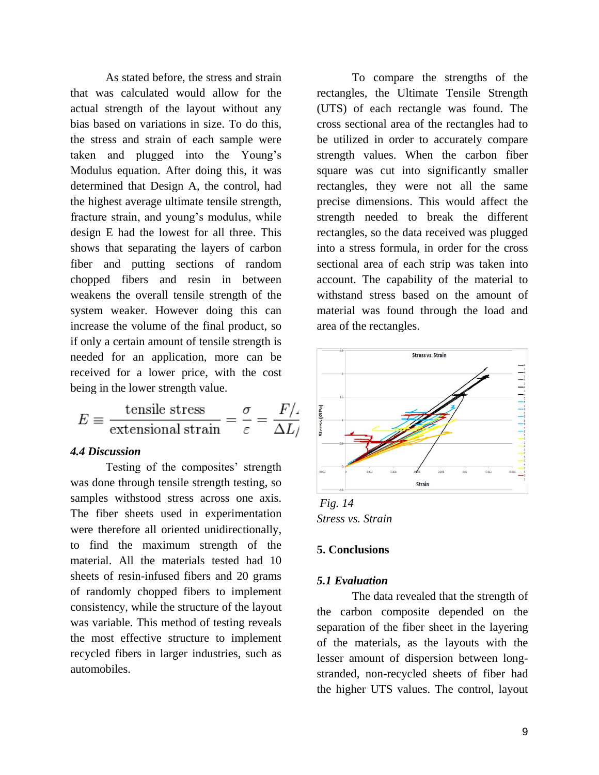As stated before, the stress and strain that was calculated would allow for the actual strength of the layout without any bias based on variations in size. To do this, the stress and strain of each sample were taken and plugged into the Young's Modulus equation. After doing this, it was determined that Design A, the control, had the highest average ultimate tensile strength, fracture strain, and young's modulus, while design E had the lowest for all three. This shows that separating the layers of carbon fiber and putting sections of random chopped fibers and resin in between weakens the overall tensile strength of the system weaker. However doing this can increase the volume of the final product, so if only a certain amount of tensile strength is needed for an application, more can be received for a lower price, with the cost being in the lower strength value.

$$
E \equiv \frac{\text{tensile stress}}{\text{extensional strain}} = \frac{\sigma}{\varepsilon} = \frac{F}{\Delta L}
$$

#### *4.4 Discussion*

Testing of the composites' strength was done through tensile strength testing, so samples withstood stress across one axis. The fiber sheets used in experimentation were therefore all oriented unidirectionally, to find the maximum strength of the material. All the materials tested had 10 sheets of resin-infused fibers and 20 grams of randomly chopped fibers to implement consistency, while the structure of the layout was variable. This method of testing reveals the most effective structure to implement recycled fibers in larger industries, such as automobiles.

To compare the strengths of the rectangles, the Ultimate Tensile Strength (UTS) of each rectangle was found. The cross sectional area of the rectangles had to be utilized in order to accurately compare strength values. When the carbon fiber square was cut into significantly smaller rectangles, they were not all the same precise dimensions. This would affect the strength needed to break the different rectangles, so the data received was plugged into a stress formula, in order for the cross sectional area of each strip was taken into account. The capability of the material to withstand stress based on the amount of material was found through the load and area of the rectangles.



*Stress vs. Strain*

#### **5. Conclusions**

#### *5.1 Evaluation*

The data revealed that the strength of the carbon composite depended on the separation of the fiber sheet in the layering of the materials, as the layouts with the lesser amount of dispersion between longstranded, non-recycled sheets of fiber had the higher UTS values. The control, layout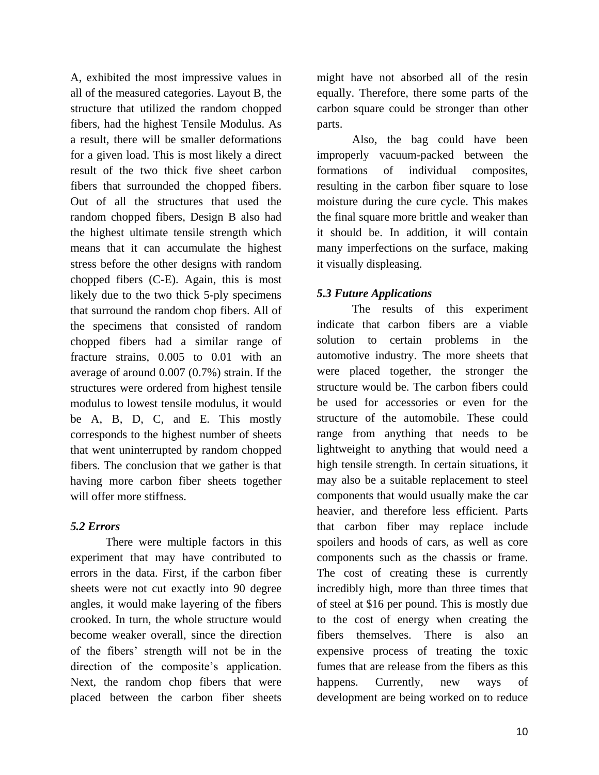A, exhibited the most impressive values in all of the measured categories. Layout B, the structure that utilized the random chopped fibers, had the highest Tensile Modulus. As a result, there will be smaller deformations for a given load. This is most likely a direct result of the two thick five sheet carbon fibers that surrounded the chopped fibers. Out of all the structures that used the random chopped fibers, Design B also had the highest ultimate tensile strength which means that it can accumulate the highest stress before the other designs with random chopped fibers (C-E). Again, this is most likely due to the two thick 5-ply specimens that surround the random chop fibers. All of the specimens that consisted of random chopped fibers had a similar range of fracture strains, 0.005 to 0.01 with an average of around 0.007 (0.7%) strain. If the structures were ordered from highest tensile modulus to lowest tensile modulus, it would be A, B, D, C, and E. This mostly corresponds to the highest number of sheets that went uninterrupted by random chopped fibers. The conclusion that we gather is that having more carbon fiber sheets together will offer more stiffness.

# *5.2 Errors*

There were multiple factors in this experiment that may have contributed to errors in the data. First, if the carbon fiber sheets were not cut exactly into 90 degree angles, it would make layering of the fibers crooked. In turn, the whole structure would become weaker overall, since the direction of the fibers' strength will not be in the direction of the composite's application. Next, the random chop fibers that were placed between the carbon fiber sheets

might have not absorbed all of the resin equally. Therefore, there some parts of the carbon square could be stronger than other parts.

Also, the bag could have been improperly vacuum-packed between the formations of individual composites, resulting in the carbon fiber square to lose moisture during the cure cycle. This makes the final square more brittle and weaker than it should be. In addition, it will contain many imperfections on the surface, making it visually displeasing.

# *5.3 Future Applications*

The results of this experiment indicate that carbon fibers are a viable solution to certain problems in the automotive industry. The more sheets that were placed together, the stronger the structure would be. The carbon fibers could be used for accessories or even for the structure of the automobile. These could range from anything that needs to be lightweight to anything that would need a high tensile strength. In certain situations, it may also be a suitable replacement to steel components that would usually make the car heavier, and therefore less efficient. Parts that carbon fiber may replace include spoilers and hoods of cars, as well as core components such as the chassis or frame. The cost of creating these is currently incredibly high, more than three times that of steel at \$16 per pound. This is mostly due to the cost of energy when creating the fibers themselves. There is also an expensive process of treating the toxic fumes that are release from the fibers as this happens. Currently, new ways of development are being worked on to reduce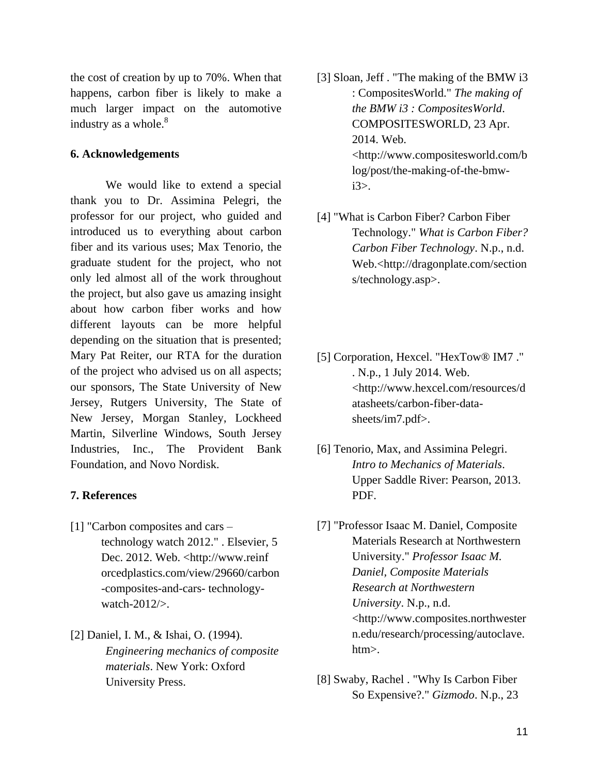the cost of creation by up to 70%. When that happens, carbon fiber is likely to make a much larger impact on the automotive industry as a whole. $8^8$ 

#### **6. Acknowledgements**

We would like to extend a special thank you to Dr. Assimina Pelegri, the professor for our project, who guided and introduced us to everything about carbon fiber and its various uses; Max Tenorio, the graduate student for the project, who not only led almost all of the work throughout the project, but also gave us amazing insight about how carbon fiber works and how different layouts can be more helpful depending on the situation that is presented; Mary Pat Reiter, our RTA for the duration of the project who advised us on all aspects; our sponsors, The State University of New Jersey, Rutgers University, The State of New Jersey, Morgan Stanley, Lockheed Martin, Silverline Windows, South Jersey Industries, Inc., The Provident Bank Foundation, and Novo Nordisk.

#### **7. References**

- [1] "Carbon composites and cars technology watch 2012." . Elsevier, 5 Dec. 2012. Web. <http://www.reinf orcedplastics.com/view/29660/carbon -composites-and-cars- technologywatch-2012/>.
- [2] Daniel, I. M., & Ishai, O. (1994). *Engineering mechanics of composite materials*. New York: Oxford University Press.
- [3] Sloan, Jeff . "The making of the BMW i3 : CompositesWorld." *The making of the BMW i3 : CompositesWorld*. COMPOSITESWORLD, 23 Apr. 2014. Web. <http://www.compositesworld.com/b log/post/the-making-of-the-bmwi3>.
- [4] "What is Carbon Fiber? Carbon Fiber Technology." *What is Carbon Fiber? Carbon Fiber Technology*. N.p., n.d. Web.<http://dragonplate.com/section s/technology.asp>.
- [5] Corporation, Hexcel. "HexTow® IM7 ." . N.p., 1 July 2014. Web. <http://www.hexcel.com/resources/d atasheets/carbon-fiber-datasheets/im7.pdf>.
- [6] Tenorio, Max, and Assimina Pelegri. *Intro to Mechanics of Materials*. Upper Saddle River: Pearson, 2013. PDF.
- [7] "Professor Isaac M. Daniel, Composite Materials Research at Northwestern University." *Professor Isaac M. Daniel, Composite Materials Research at Northwestern University*. N.p., n.d. <http://www.composites.northwester n.edu/research/processing/autoclave. htm>.
- [8] Swaby, Rachel . "Why Is Carbon Fiber So Expensive?." *Gizmodo*. N.p., 23